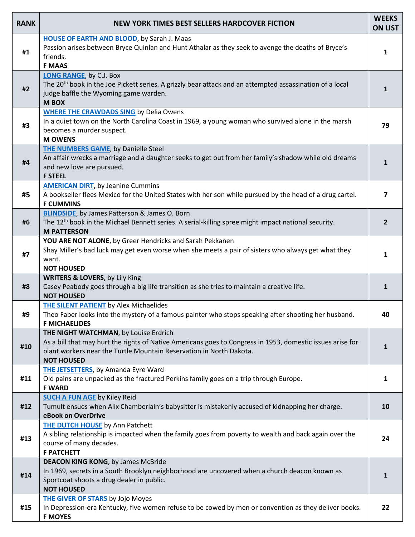| <b>RANK</b> | <b>NEW YORK TIMES BEST SELLERS HARDCOVER FICTION</b>                                                                                                                                                                                            | <b>WEEKS</b><br><b>ON LIST</b> |
|-------------|-------------------------------------------------------------------------------------------------------------------------------------------------------------------------------------------------------------------------------------------------|--------------------------------|
| #1          | <b>HOUSE OF EARTH AND BLOOD, by Sarah J. Maas</b><br>Passion arises between Bryce Quinlan and Hunt Athalar as they seek to avenge the deaths of Bryce's<br>friends.<br><b>F MAAS</b>                                                            | $\mathbf{1}$                   |
| #2          | <b>LONG RANGE, by C.J. Box</b><br>The 20 <sup>th</sup> book in the Joe Pickett series. A grizzly bear attack and an attempted assassination of a local<br>judge baffle the Wyoming game warden.<br><b>MBOX</b>                                  | $\mathbf{1}$                   |
| #3          | <b>WHERE THE CRAWDADS SING</b> by Delia Owens<br>In a quiet town on the North Carolina Coast in 1969, a young woman who survived alone in the marsh<br>becomes a murder suspect.<br><b>M OWENS</b>                                              | 79                             |
| #4          | <b>THE NUMBERS GAME, by Danielle Steel</b><br>An affair wrecks a marriage and a daughter seeks to get out from her family's shadow while old dreams<br>and new love are pursued.<br><b>F STEEL</b>                                              | $\mathbf{1}$                   |
| #5          | <b>AMERICAN DIRT, by Jeanine Cummins</b><br>A bookseller flees Mexico for the United States with her son while pursued by the head of a drug cartel.<br><b>F CUMMINS</b>                                                                        | 7                              |
| #6          | <b>BLINDSIDE</b> , by James Patterson & James O. Born<br>The 12 <sup>th</sup> book in the Michael Bennett series. A serial-killing spree might impact national security.<br><b>M PATTERSON</b>                                                  | $\overline{2}$                 |
| #7          | YOU ARE NOT ALONE, by Greer Hendricks and Sarah Pekkanen<br>Shay Miller's bad luck may get even worse when she meets a pair of sisters who always get what they<br>want.<br><b>NOT HOUSED</b>                                                   | $\mathbf{1}$                   |
| #8          | <b>WRITERS &amp; LOVERS, by Lily King</b><br>Casey Peabody goes through a big life transition as she tries to maintain a creative life.<br><b>NOT HOUSED</b>                                                                                    | $\mathbf{1}$                   |
| #9          | <b>THE SILENT PATIENT by Alex Michaelides</b><br>Theo Faber looks into the mystery of a famous painter who stops speaking after shooting her husband.<br><b>F MICHAELIDES</b>                                                                   | 40                             |
| #10         | THE NIGHT WATCHMAN, by Louise Erdrich<br>As a bill that may hurt the rights of Native Americans goes to Congress in 1953, domestic issues arise for<br>plant workers near the Turtle Mountain Reservation in North Dakota.<br><b>NOT HOUSED</b> | 1                              |
| #11         | <b>THE JETSETTERS</b> , by Amanda Eyre Ward<br>Old pains are unpacked as the fractured Perkins family goes on a trip through Europe.<br><b>F WARD</b>                                                                                           | $\mathbf{1}$                   |
| #12         | <b>SUCH A FUN AGE by Kiley Reid</b><br>Tumult ensues when Alix Chamberlain's babysitter is mistakenly accused of kidnapping her charge.<br>eBook on OverDrive                                                                                   | 10                             |
| #13         | <b>THE DUTCH HOUSE</b> by Ann Patchett<br>A sibling relationship is impacted when the family goes from poverty to wealth and back again over the<br>course of many decades.<br><b>F PATCHETT</b>                                                | 24                             |
| #14         | <b>DEACON KING KONG, by James McBride</b><br>In 1969, secrets in a South Brooklyn neighborhood are uncovered when a church deacon known as<br>Sportcoat shoots a drug dealer in public.<br><b>NOT HOUSED</b>                                    | $\mathbf{1}$                   |
| #15         | <b>THE GIVER OF STARS</b> by Jojo Moyes<br>In Depression-era Kentucky, five women refuse to be cowed by men or convention as they deliver books.<br><b>F MOYES</b>                                                                              | 22                             |